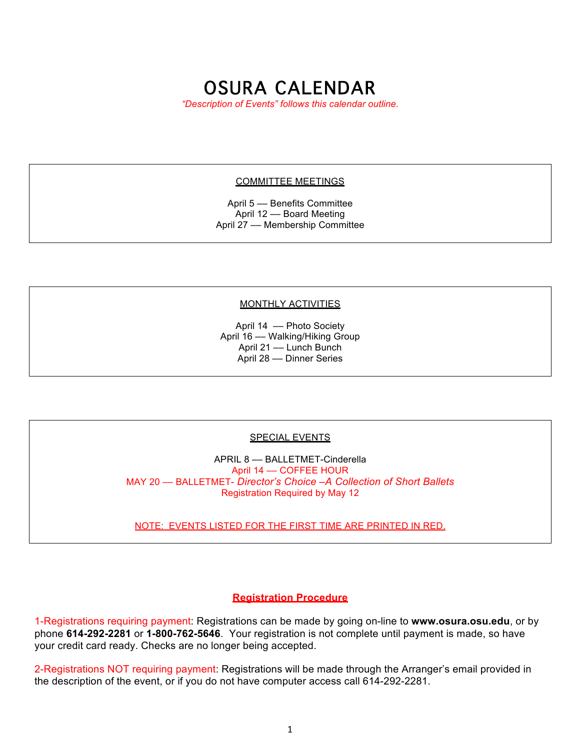# OSURA CALENDAR

*"Description of Events" follows this calendar outline.*

#### COMMITTEE MEETINGS

April 5 –– Benefits Committee April 12 –– Board Meeting April 27 –– Membership Committee

#### MONTHLY ACTIVITIES

April 14 –– Photo Society April 16 - Walking/Hiking Group April 21 –– Lunch Bunch April 28 –– Dinner Series

#### SPECIAL EVENTS

APRIL 8 –– BALLETMET-Cinderella April 14 –– COFFEE HOUR MAY 20 –– BALLETMET- *Director's Choice –A Collection of Short Ballets* Registration Required by May 12

NOTE: EVENTS LISTED FOR THE FIRST TIME ARE PRINTED IN RED.

#### **Registration Procedure**

1-Registrations requiring payment: Registrations can be made by going on-line to **www.osura.osu.edu**, or by phone **614-292-2281** or **1-800-762-5646**. Your registration is not complete until payment is made, so have your credit card ready. Checks are no longer being accepted.

2-Registrations NOT requiring payment: Registrations will be made through the Arranger's email provided in the description of the event, or if you do not have computer access call 614-292-2281.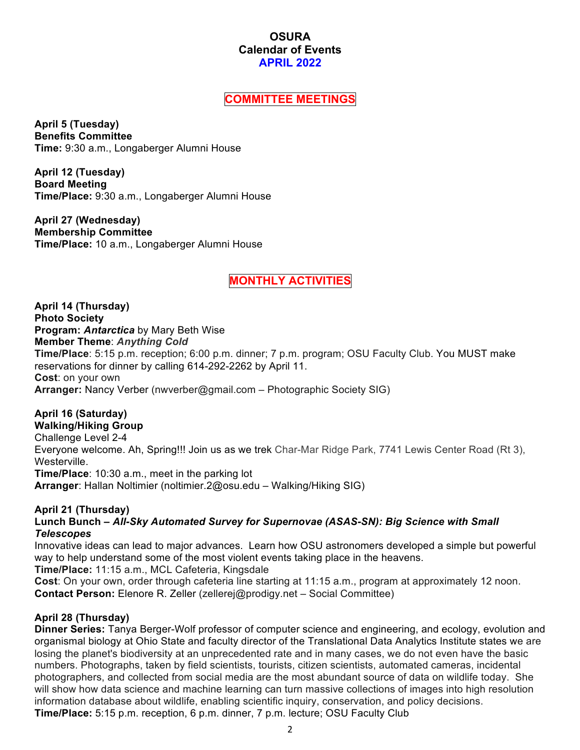### **OSURA Calendar of Events APRIL 2022**

### **COMMITTEE MEETINGS**

**April 5 (Tuesday) Benefits Committee Time:** 9:30 a.m., Longaberger Alumni House

**April 12 (Tuesday) Board Meeting Time/Place:** 9:30 a.m., Longaberger Alumni House

**April 27 (Wednesday) Membership Committee Time/Place:** 10 a.m., Longaberger Alumni House

# **MONTHLY ACTIVITIES**

**April 14 (Thursday) Photo Society Program:** *Antarctica* by Mary Beth Wise **Member Theme**: *Anything Cold* **Time/Place**: 5:15 p.m. reception; 6:00 p.m. dinner; 7 p.m. program; OSU Faculty Club. You MUST make reservations for dinner by calling 614-292-2262 by April 11. **Cost**: on your own **Arranger:** Nancy Verber (nwverber@gmail.com – Photographic Society SIG)

# **April 16 (Saturday)**

**Walking/Hiking Group** Challenge Level 2-4 Everyone welcome. Ah, Spring!!! Join us as we trek Char-Mar Ridge Park, 7741 Lewis Center Road (Rt 3), Westerville. **Time/Place**: 10:30 a.m., meet in the parking lot **Arranger**: Hallan Noltimier (noltimier.2@osu.edu – Walking/Hiking SIG)

### **April 21 (Thursday)**

**Lunch Bunch –** *All-Sky Automated Survey for Supernovae (ASAS-SN): Big Science with Small Telescopes*

Innovative ideas can lead to major advances. Learn how OSU astronomers developed a simple but powerful way to help understand some of the most violent events taking place in the heavens.

**Time/Place:** 11:15 a.m., MCL Cafeteria, Kingsdale

**Cost**: On your own, order through cafeteria line starting at 11:15 a.m., program at approximately 12 noon. **Contact Person:** Elenore R. Zeller (zellerej@prodigy.net – Social Committee)

### **April 28 (Thursday)**

**Dinner Series:** Tanya Berger-Wolf professor of computer science and engineering, and ecology, evolution and organismal biology at Ohio State and faculty director of the Translational Data Analytics Institute states we are losing the planet's biodiversity at an unprecedented rate and in many cases, we do not even have the basic numbers. Photographs, taken by field scientists, tourists, citizen scientists, automated cameras, incidental photographers, and collected from social media are the most abundant source of data on wildlife today. She will show how data science and machine learning can turn massive collections of images into high resolution information database about wildlife, enabling scientific inquiry, conservation, and policy decisions. **Time/Place:** 5:15 p.m. reception, 6 p.m. dinner, 7 p.m. lecture; OSU Faculty Club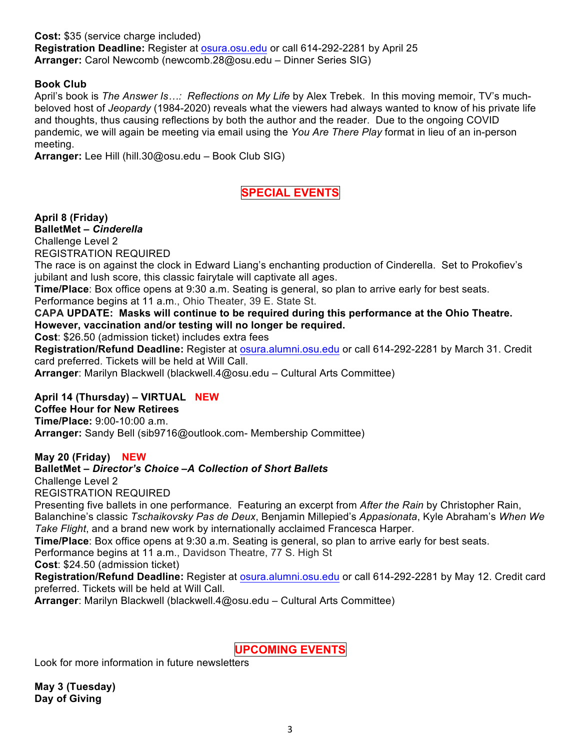**Cost:** \$35 (service charge included) **Registration Deadline:** Register at osura.osu.edu or call 614-292-2281 by April 25 **Arranger:** Carol Newcomb (newcomb.28@osu.edu – Dinner Series SIG)

#### **Book Club**

April's book is *The Answer Is…: Reflections on My Life* by Alex Trebek. In this moving memoir, TV's muchbeloved host of *Jeopardy* (1984-2020) reveals what the viewers had always wanted to know of his private life and thoughts, thus causing reflections by both the author and the reader. Due to the ongoing COVID pandemic, we will again be meeting via email using the *You Are There Play* format in lieu of an in-person meeting.

**Arranger:** Lee Hill (hill.30@osu.edu – Book Club SIG)

## **SPECIAL EVENTS**

**April 8 (Friday)**

**BalletMet –** *Cinderella*

Challenge Level 2 REGISTRATION REQUIRED

The race is on against the clock in Edward Liang's enchanting production of Cinderella. Set to Prokofiev's jubilant and lush score, this classic fairytale will captivate all ages.

**Time/Place**: Box office opens at 9:30 a.m. Seating is general, so plan to arrive early for best seats. Performance begins at 11 a.m., Ohio Theater, 39 E. State St.

**CAPA UPDATE: Masks will continue to be required during this performance at the Ohio Theatre. However, vaccination and/or testing will no longer be required.**

**Cost**: \$26.50 (admission ticket) includes extra fees

**Registration/Refund Deadline:** Register at osura.alumni.osu.edu or call 614-292-2281 by March 31. Credit card preferred. Tickets will be held at Will Call.

**Arranger**: Marilyn Blackwell (blackwell.4@osu.edu – Cultural Arts Committee)

### **April 14 (Thursday) – VIRTUAL NEW**

#### **Coffee Hour for New Retirees**

**Time/Place:** 9:00-10:00 a.m. **Arranger:** Sandy Bell (sib9716@outlook.com- Membership Committee)

#### **May 20 (Friday) NEW**

### **BalletMet –** *Director's Choice –A Collection of Short Ballets*

Challenge Level 2

REGISTRATION REQUIRED

Presenting five ballets in one performance. Featuring an excerpt from *After the Rain* by Christopher Rain, Balanchine's classic *Tschaikovsky Pas de Deux*, Benjamin Millepied's *Appasionata*, Kyle Abraham's *When We Take Flight*, and a brand new work by internationally acclaimed Francesca Harper.

**Time/Place**: Box office opens at 9:30 a.m. Seating is general, so plan to arrive early for best seats.

Performance begins at 11 a.m., Davidson Theatre, 77 S. High St

**Cost**: \$24.50 (admission ticket)

**Registration/Refund Deadline:** Register at osura.alumni.osu.edu or call 614-292-2281 by May 12. Credit card preferred. Tickets will be held at Will Call.

**Arranger**: Marilyn Blackwell (blackwell.4@osu.edu – Cultural Arts Committee)

**UPCOMING EVENTS**

Look for more information in future newsletters

**May 3 (Tuesday) Day of Giving**